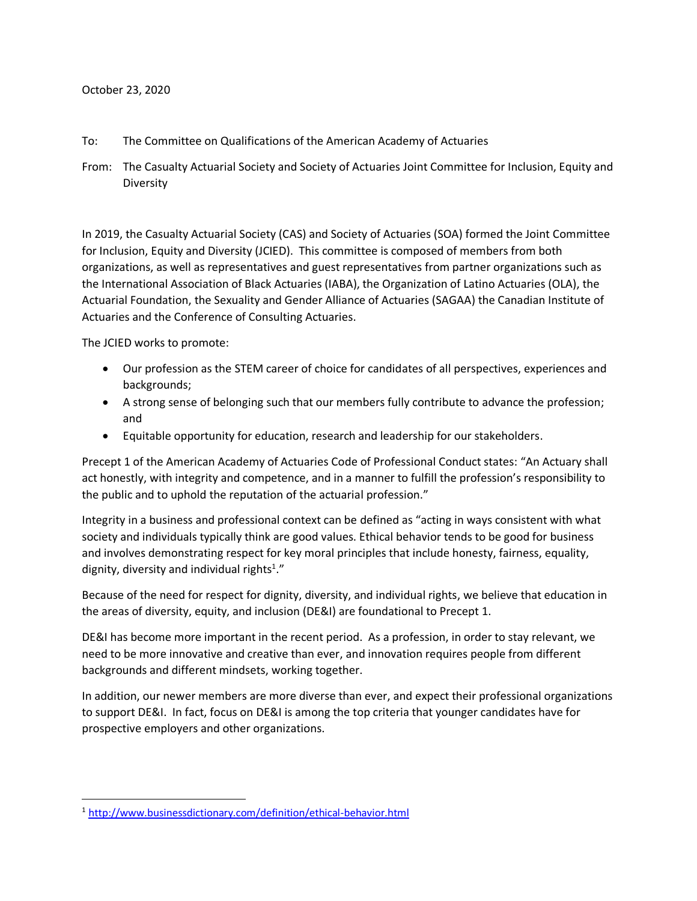## October 23, 2020

- To: The Committee on Qualifications of the American Academy of Actuaries
- From: The Casualty Actuarial Society and Society of Actuaries Joint Committee for Inclusion, Equity and **Diversity**

In 2019, the Casualty Actuarial Society (CAS) and Society of Actuaries (SOA) formed the Joint Committee for Inclusion, Equity and Diversity (JCIED). This committee is composed of members from both organizations, as well as representatives and guest representatives from partner organizations such as the International Association of Black Actuaries (IABA), the Organization of Latino Actuaries (OLA), the Actuarial Foundation, the Sexuality and Gender Alliance of Actuaries (SAGAA) the Canadian Institute of Actuaries and the Conference of Consulting Actuaries.

The JCIED works to promote:

- Our profession as the STEM career of choice for candidates of all perspectives, experiences and backgrounds;
- A strong sense of belonging such that our members fully contribute to advance the profession; and
- Equitable opportunity for education, research and leadership for our stakeholders.

Precept 1 of the American Academy of Actuaries Code of Professional Conduct states: "An Actuary shall act honestly, with integrity and competence, and in a manner to fulfill the profession's responsibility to the public and to uphold the reputation of the actuarial profession."

Integrity in a business and professional context can be defined as "acting in ways consistent with what society and individuals typically think are good values. Ethical behavior tends to be good for business and involves demonstrating respect for key moral principles that include honesty, fairness, equality, dignity, diversity and individual rights<sup>1</sup>."

Because of the need for respect for dignity, diversity, and individual rights, we believe that education in the areas of diversity, equity, and inclusion (DE&I) are foundational to Precept 1.

DE&I has become more important in the recent period. As a profession, in order to stay relevant, we need to be more innovative and creative than ever, and innovation requires people from different backgrounds and different mindsets, working together.

In addition, our newer members are more diverse than ever, and expect their professional organizations to support DE&I. In fact, focus on DE&I is among the top criteria that younger candidates have for prospective employers and other organizations.

<sup>1</sup> <http://www.businessdictionary.com/definition/ethical-behavior.html>